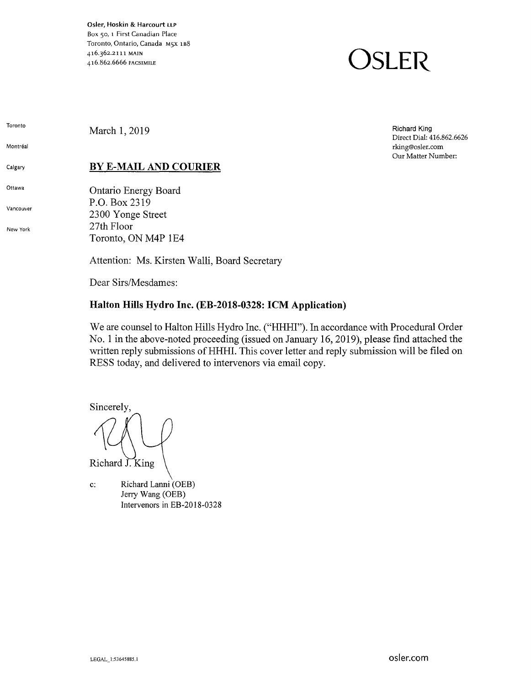Osler, Hoskin & Harcourt LLP Box 50, 1 First Canadian Place Toronto, Ontario, Canada M5X 1B8 416.362.2111 MAIN 416.862.6666 FACSIMILE

# **OSLER**

Toronto

Montréal

Calgary

Ottawa

Vancouver

New York

March 1, 2019

# **BY E-MAIL AND COURIER**

Ontario Energy Board P.O. Box 2319 2300 Yonge Street 27th Floor Toronto, ON M4P 1E4

Attention: Ms. Kirsten Walli, Board Secretary

Dear Sirs/Mesdames:

# **Halton Hills Hydro Inc. (EB-2018-0328: ICM Application)**

We are counsel to Halton Hills Hydro Inc. ("HHHI"). In accordance with Procedural Order No. 1 in the above-noted proceeding (issued on January 16, 2019), please find attached the written reply submissions of HHHI. This cover letter and reply submission will be filed on RESS today, and delivered to intervenors via email copy.

Sincerely, Richard J. King

c: Richard Lanni (OEB) Jerry Wang (OEB) Intervenors in EB-2018-0328

Richard King Direct Dial: 416.862.6626 rking@osler.com Our Matter Number: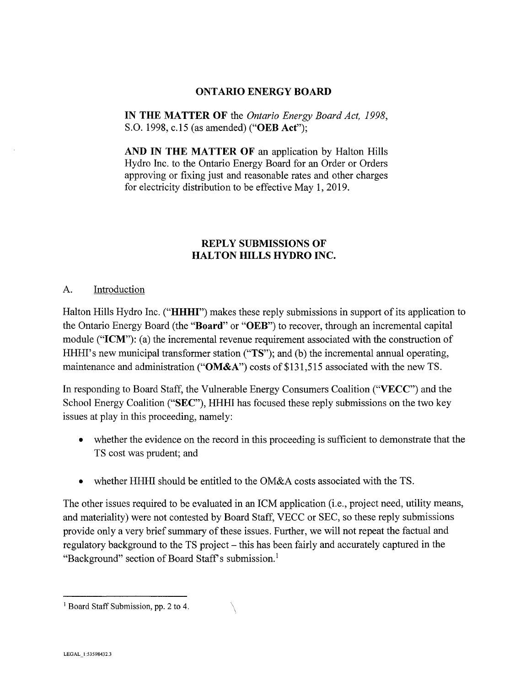#### **ONTARIO ENERGY BOARD**

**IN THE MATTER OF** the *Ontario Energy Board Act, 1998,*  S.O. 1998, c.15 (as amended) **("OEB Act");** 

**AND IN THE MATTER OF** an application by Halton Hills Hydro Inc. to the Ontario Energy Board for an Order or Orders approving or fixing just and reasonable rates and other charges for electricity distribution to be effective May 1, 2019.

#### **REPLY SUBMISSIONS OF HALTON HILLS HYDRO INC.**

#### A. Introduction

Halton Hills Hydro Inc. **("HHHI")** makes these reply submissions in support of its application to the Ontario Energy Board (the **"Board" or "OEB")** to recover, through an incremental capital module ("ICM"): (a) the incremental revenue requirement associated with the construction of HHHI's new municipal transformer station ("TS"); and (b) the incremental annual operating, maintenance and administration **("OM&A")** costs of \$131,515 associated with the new TS.

In responding to Board Staff, the Vulnerable Energy Consumers Coalition **("VECC")** and the School Energy Coalition **("SEC"),** HHHI has focused these reply submissions on the two key issues at play in this proceeding, namely:

- whether the evidence on the record in this proceeding is sufficient to demonstrate that the TS cost was prudent; and
- whether HHHI should be entitled to the OM&A costs associated with the TS.

The other issues required to be evaluated in an ICM application (i.e., project need, utility means, and materiality) were not contested by Board Staff, VECC or SEC, so these reply submissions provide only a very brief summary of these issues. Further, we will not repeat the factual and regulatory background to the TS project – this has been fairly and accurately captured in the "Background" section of Board Staff's submission.<sup>1</sup>

<sup>&</sup>lt;sup>1</sup> Board Staff Submission, pp. 2 to 4.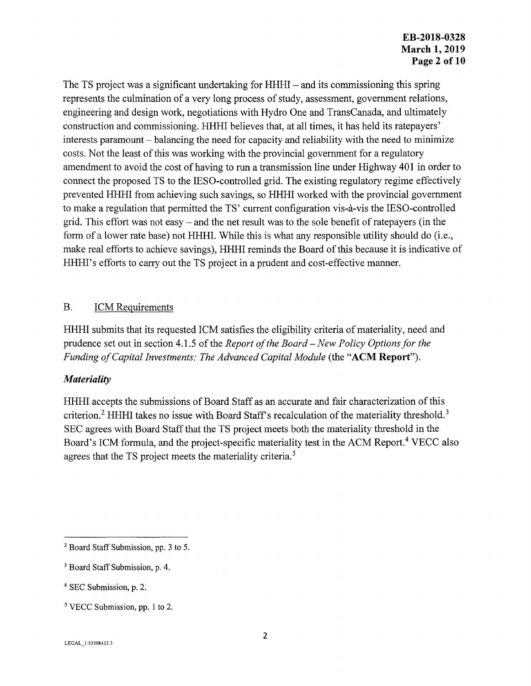The TS project was a significant undertaking for HHHI- and its commissioning this spring represents the culmination of a very long process of study, assessment, government relations, engineering and design work, negotiations with Hydro One and TransCanada, and ultimately construction and commissioning. HHHI believes that, at all times, it has held its ratepayers' interests paramount – balancing the need for capacity and reliability with the need to minimize costs. Not the least of this was working with the provincial government for a regulatory amendment to avoid the cost of having to run a transmission line under Highway 401 in order to connect the proposed TS to the IESO-controlled grid. The existing regulatory regime effectively prevented HHHI from achieving such savings, so HHHI worked with the provincial government to make a regulation that permitted the TS' current configuration vis-a-vis the IESO-controlled grid. This effort was not easy - and the net result was to the sole benefit of ratepayers (in the form of a lower rate base) not HHHI. While this is what any responsible utility should do (i.e., make real efforts to achieve savings), HHHI reminds the Board of this because it is indicative of HHHI's efforts to carry out the TS project in a prudent and cost-effective manner.

#### B. ICM Requirements

HHHI submits that its requested ICM satisfies the eligibility criteria of materiality, need and prudence set out in section 4.1.5 of the *Report of the Board – New Policy Options for the Funding of Capital Investments: The Advanced Capital Module* (the "ACM Report").

#### *Materiality*

HHHI accepts the submissions of Board Staff as an accurate and fair characterization of this criterion.<sup>2</sup> HHHI takes no issue with Board Staff's recalculation of the materiality threshold.<sup>3</sup> SEC agrees with Board Staff that the TS project meets both the materiality threshold in the Board's ICM formula, and the project-specific materiality test in the ACM Report.<sup>4</sup> VECC also agrees that the TS project meets the materiality criteria.<sup>5</sup>

<sup>&</sup>lt;sup>2</sup> Board Staff Submission, pp. 3 to 5.

<sup>3</sup> Board Staff Submission, p. 4.

<sup>4</sup>SEC Submission, p. 2.

*<sup>5</sup>*VECC Submission, pp. 1 to 2.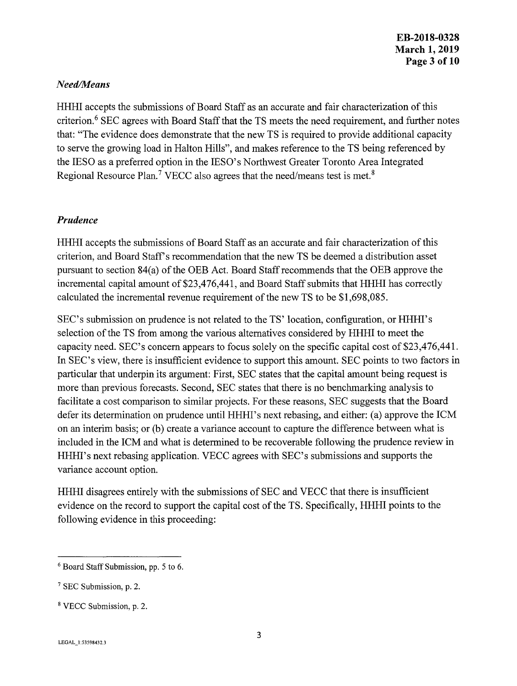#### *Need/Means*

HHHI accepts the submissions of Board Staff as an accurate and fair characterization of this criterion.<sup>6</sup> SEC agrees with Board Staff that the TS meets the need requirement, and further notes that: "The evidence does demonstrate that the new TS is required to provide additional capacity to serve the growing load in Halton Hills", and makes reference to the TS being referenced by the IESO as a preferred option in the IESO's Northwest Greater Toronto Area Integrated Regional Resource Plan.<sup>7</sup> VECC also agrees that the need/means test is met.<sup>8</sup>

#### *Prudence*

HHHI accepts the submissions of Board Staff as an accurate and fair characterization of this criterion, and Board Staff's recommendation that the new TS be deemed a distribution asset pursuant to section 84(a) of the OEB Act. Board Staff recommends that the OEB approve the incremental capital amount of \$23,476,441, and Board Staff submits that HHHI has correctly calculated the incremental revenue requirement of the new TS to be \$1,698,085.

SEC's submission on prudence is not related to the TS' location, configuration, or HHHI's selection of the TS from among the various alternatives considered by HHHI to meet the capacity need. SEC's concern appears to focus solely on the specific capital cost of \$23,476,441. In SEC's view, there is insufficient evidence to support this amount. SEC points to two factors in particular that underpin its argument: First, SEC states that the capital amount being request is more than previous forecasts. Second, SEC states that there is no benchmarking analysis to facilitate a cost comparison to similar projects. For these reasons, SEC suggests that the Board defer its determination on prudence until HHHI's next rebasing, and either: (a) approve the ICM on an interim basis; or (b) create a variance account to capture the difference between what is included in the ICM and what is determined to be recoverable following the prudence review in HHHI's next rebasing application. VECC agrees with SEC's submissions and supports the variance account option.

HHHI disagrees entirely with the submissions of SEC and VECC that there is insufficient evidence on the record to support the capital cost of the TS. Specifically, HHHI points to the following evidence in this proceeding:

 $6$  Board Staff Submission, pp. 5 to 6.

<sup>7</sup> SEC Submission, p. 2.

<sup>8</sup> VECC Submission, p. 2.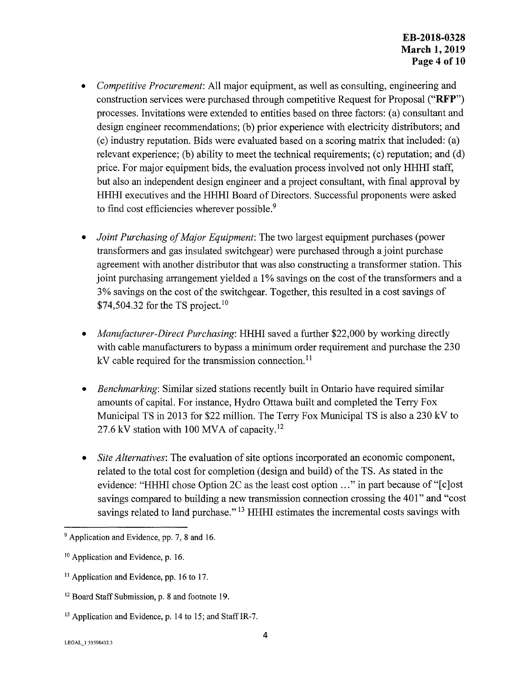- *Competitive Procurement:* All major equipment, as well as consulting, engineering and construction services were purchased through competitive Request for Proposal **("RFP")**  processes. Invitations were extended to entities based on three factors: (a) consultant and design engineer recommendations; (b) prior experience with electricity distributors; and (c) industry reputation. Bids were evaluated based on a scoring matrix that included: (a) relevant experience; (b) ability to meet the technical requirements; (c) reputation; and (d) price. For major equipment bids, the evaluation process involved not only HHHI staff, but also an independent design engineer and a project consultant, with final approval by HHHI executives and the HHHI Board of Directors. Successful proponents were asked to find cost efficiencies wherever possible.<sup>9</sup>
- *Joint Purchasing of Major Equipment:* The two largest equipment purchases (power transformers and gas insulated switchgear) were purchased through a joint purchase agreement with another distributor that was also constructing a transformer station. This joint purchasing arrangement yielded a I% savings on the cost of the transformers and a 3% savings on the cost of the switchgear. Together, this resulted in a cost savings of \$74,504.32 for the TS project.<sup>10</sup>
- *Manufacturer-Direct Purchasing:* HHHI saved a further \$22,000 by working directly with cable manufacturers to bypass a minimum order requirement and purchase the 230  $kV$  cable required for the transmission connection.<sup>11</sup>
- *Benchmarking:* Similar sized stations recently built in Ontario have required similar amounts of capital. For instance, Hydro Ottawa built and completed the Terry Fox Municipal TS in 2013 for \$22 million. The Terry Fox Municipal TS is also a 230 kV to 27.6 kV station with 100 MVA of capacity.<sup>12</sup>
- *Site Alternatives:* The evaluation of site options incorporated an economic component, related to the total cost for completion (design and build) of the TS. As stated in the evidence: "HHHI chose Option 2C as the least cost option ..." in part because of "[c]ost savings compared to building a new transmission connection crossing the 401" and "cost" savings related to land purchase."<sup>13</sup> HHHI estimates the incremental costs savings with

- <sup>11</sup> Application and Evidence, pp. 16 to 17.
- <sup>12</sup> Board Staff Submission, p. 8 and footnote 19.
- <sup>13</sup> Application and Evidence, p. 14 to 15; and Staff IR-7.

<sup>&</sup>lt;sup>9</sup> Application and Evidence, pp. 7, 8 and 16.

<sup>&</sup>lt;sup>10</sup> Application and Evidence, p. 16.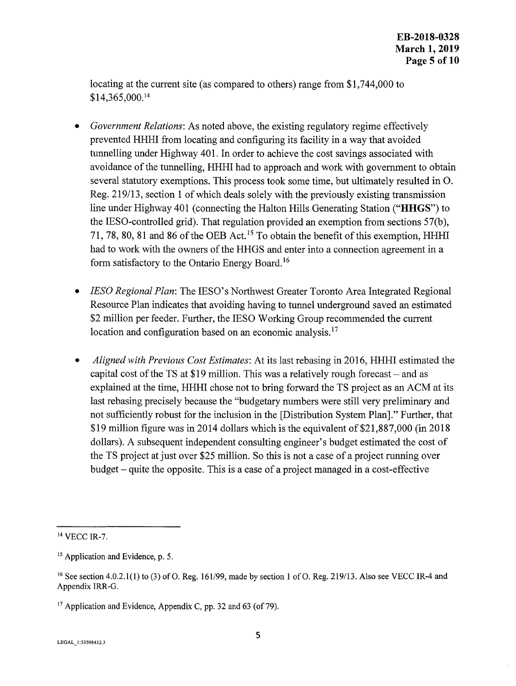locating at the current site (as compared to others) range from \$1,744,000 to \$14,365,000. <sup>14</sup>

- *Government Relations:* As noted above, the existing regulatory regime effectively prevented HHHI from locating and configuring its facility in a way that avoided tunnelling under Highway 401. In order to achieve the cost savings associated with avoidance of the tunnelling, HHHI had to approach and work with government to obtain several statutory exemptions. This process took some time, but ultimately resulted in 0. Reg. 219/13, section 1 of which deals solely with the previously existing transmission line under Highway 401 ( connecting the Halton Hills Generating Station **("HHGS")** to the IESO-controlled grid). That regulation provided an exemption from sections 57(b), 71, 78, 80, 81 and 86 of the OEB Act. 15 To obtain the benefit of this exemption, HHHI had to work with the owners of the HHGS and enter into a connection agreement in a form satisfactory to the Ontario Energy Board. <sup>16</sup>
- *IESO Regional Plan:* The IESO's Northwest Greater Toronto Area Integrated Regional Resource Plan indicates that avoiding having to tunnel underground saved an estimated \$2 million per feeder. Further, the IESO Working Group recommended the current location and configuration based on an economic analysis.<sup>17</sup>
- *Aligned with Previous Cost Estimates:* At its last rebasing in 2016, HHHI estimated the capital cost of the TS at \$19 million. This was a relatively rough forecast  $-$  and as explained at the time, HHHI chose not to bring forward the TS project as an ACM at its last rebasing precisely because the "budgetary numbers were still very preliminary and not sufficiently robust for the inclusion in the [Distribution System Plan]." Further, that \$19 million figure was in 2014 dollars which is the equivalent of \$21,887,000 (in 2018) dollars). A subsequent independent consulting engineer's budget estimated the cost of the TS project at just over \$25 million. So this is not a case of a project running over budget - quite the opposite. This is a case of a project managed in a cost-effective

<sup>14</sup> VECC IR-7.

<sup>&</sup>lt;sup>15</sup> Application and Evidence, p. 5.

<sup>&</sup>lt;sup>16</sup> See section 4.0.2.1(1) to (3) of O. Reg. 161/99, made by section 1 of O. Reg. 219/13. Also see VECC IR-4 and Appendix IRR-G.

<sup>&</sup>lt;sup>17</sup> Application and Evidence, Appendix C, pp. 32 and 63 (of 79).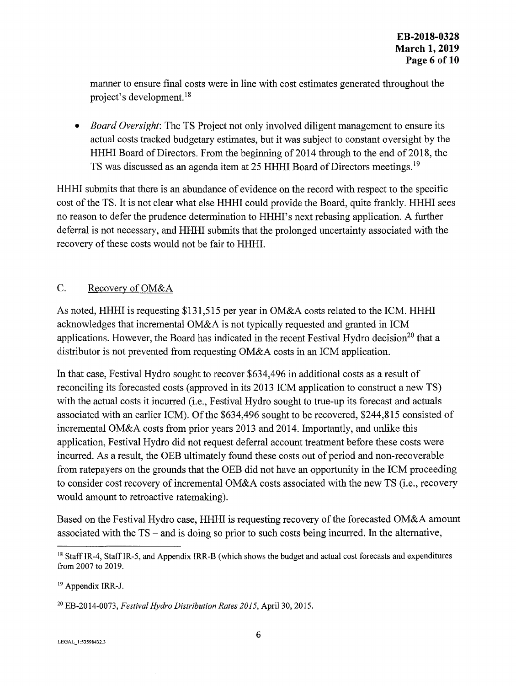manner to ensure final costs were in line with cost estimates generated throughout the project's development. 18

• *Board Oversight:* The TS Project not only involved diligent management to ensure its actual costs tracked budgetary estimates, but it was subject to constant oversight by the HHHI Board of Directors. From the beginning of 2014 through to the end of 2018, the TS was discussed as an agenda item at 25 HHHI Board of Directors meetings. <sup>19</sup>

HHHI submits that there is an abundance of evidence on the record with respect to the specific cost of the TS. It is not clear what else HHHI could provide the Board, quite frankly. HHHI sees no reason to defer the prudence determination to HHHI's next rebasing application. A further deferral is not necessary, and HHHI submits that the prolonged uncertainty associated with the recovery of these costs would not be fair to HHHI.

## C. Recovery of OM&A

As noted, HHHI is requesting \$131,515 per year in OM&A costs related to the ICM. HHHI acknowledges that incremental OM&A is not typically requested and granted in ICM applications. However, the Board has indicated in the recent Festival Hydro decision<sup>20</sup> that a distributor is not prevented from requesting OM&A costs in an ICM application.

In that case, Festival Hydro sought to recover \$634,496 in additional costs as a result of reconciling its forecasted costs (approved in its 2013 ICM application to construct a new TS) with the actual costs it incurred (i.e., Festival Hydro sought to true-up its forecast and actuals associated with an earlier ICM). Of the \$634,496 sought to be recovered, \$244,815 consisted of incremental OM&A costs from prior years 2013 and 2014. Importantly, and unlike this application, Festival Hydro did not request deferral account treatment before these costs were incurred. As a result, the OEB ultimately found these costs out of period and non-recoverable from ratepayers on the grounds that the OEB did not have an opportunity in the ICM proceeding to consider cost recovery of incremental OM&A costs associated with the new TS (i.e., recovery would amount to retroactive ratemaking).

Based on the Festival Hydro case, HHHI is requesting recovery of the forecasted OM&A amount associated with the TS - and is doing so prior to such costs being incurred. In the alternative,

<sup>&</sup>lt;sup>18</sup> Staff IR-4, Staff IR-5, and Appendix IRR-B (which shows the budget and actual cost forecasts and expenditures from 2007 to 2019.

<sup>19</sup> Appendix IRR-J.

<sup>20</sup> EB-2014-0073, *Festival Hydro Distribution Rates 2015,* April 30, 2015.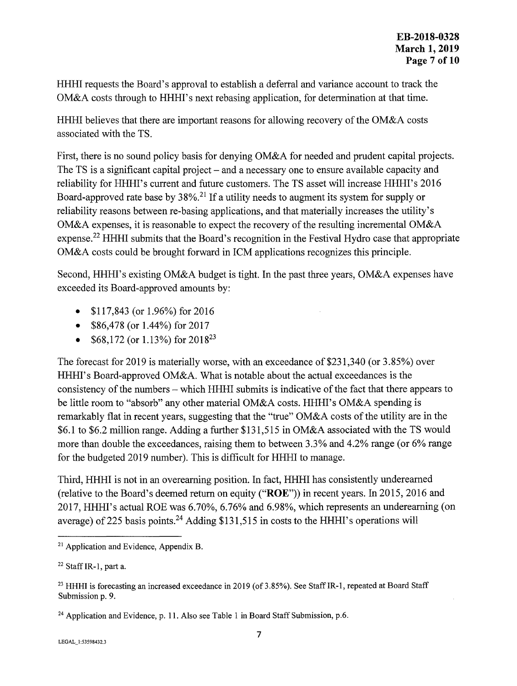HHHI requests the Board's approval to establish a deferral and variance account to track the OM&A costs through to HHHI's next rebasing application, for determination at that time.

HHHI believes that there are important reasons for allowing recovery of the OM&A costs associated with the TS.

First, there is no sound policy basis for denying OM&A for needed and prudent capital projects. The TS is a significant capital project – and a necessary one to ensure available capacity and reliability for HHHI's current and future customers. The TS asset will increase HHHI's 2016 Board-approved rate base by  $38\%$ <sup>21</sup> If a utility needs to augment its system for supply or reliability reasons between re-basing applications, and that materially increases the utility's OM&A expenses, it is reasonable to expect the recovery of the resulting incremental OM&A expense.<sup>22</sup> HHHI submits that the Board's recognition in the Festival Hydro case that appropriate OM&A costs could be brought forward in ICM applications recognizes this principle.

Second, HHHI's existing OM&A budget is tight. In the past three years, OM&A expenses have exceeded its Board-approved amounts by:

- \$117,843 (or 1.96%) for 2016
- $$86,478$  (or  $1.44\%$ ) for  $2017$
- \$68,172 (or  $1.13\%$ ) for  $2018^{23}$

The forecast for 2019 is materially worse, with an exceedance of \$231,340 (or 3.85%) over HHHI's Board-approved OM&A. What is notable about the actual exceedances is the consistency of the numbers - which HHHI submits is indicative of the fact that there appears to be little room to "absorb" any other material OM&A costs. HHHI's OM&A spending is remarkably flat in recent years, suggesting that the "true" OM&A costs of the utility are in the \$6.1 to \$6.2 million range. Adding a further \$131,515 in OM&A associated with the TS would more than double the exceedances, raising them to between 3.3% and 4.2% range (or 6% range for the budgeted 2019 number). This is difficult for HHHI to manage.

Third, HHHI is not in an overearning position. In fact, HHHI has consistently underearned (relative to the Board's deemed return on equity **("ROE"))** in recent years. In 2015, 2016 and 2017, HHHI's actual ROE was 6.70%, 6.76% and 6.98%, which represents an undereaming (on average) of 225 basis points.<sup>24</sup> Adding \$131,515 in costs to the HHHI's operations will

<sup>21</sup> Application and Evidence, Appendix B.

<sup>22</sup> Staff IR-1, part a.

<sup>&</sup>lt;sup>23</sup> HHHI is forecasting an increased exceedance in 2019 (of 3.85%). See Staff IR-1, repeated at Board Staff Submission p. 9.

<sup>&</sup>lt;sup>24</sup> Application and Evidence, p. 11. Also see Table 1 in Board Staff Submission, p.6.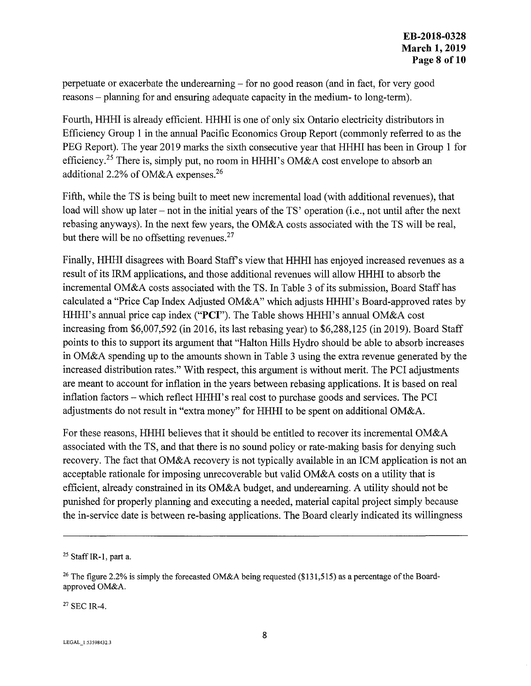perpetuate or exacerbate the underearning - for no good reason ( and in fact, for very good reasons - planning for and ensuring adequate capacity in the medium- to long-term).

Fourth, HHHI is already efficient. HHHI is one of only six Ontario electricity distributors in Efficiency Group 1 in the annual Pacific Economics Group Report ( commonly referred to as the PEG Report). The year 2019 marks the sixth consecutive year that HHHI has been in Group 1 for efficiency.<sup>25</sup> There is, simply put, no room in HHHI's OM&A cost envelope to absorb an additional 2.2% of OM&A expenses.26

Fifth, while the TS is being built to meet new incremental load (with additional revenues), that load will show up later – not in the initial years of the TS' operation (i.e., not until after the next rebasing anyways). In the next few years, the OM&A costs associated with the TS will be real, but there will be no offsetting revenues.<sup>27</sup>

Finally, HHHI disagrees with Board Staff's view that HHHI has enjoyed increased revenues as a result of its IRM applications, and those additional revenues will allow HHHI to absorb the incremental OM&A costs associated with the TS. In Table 3 of its submission, Board Staff has calculated a "Price Cap Index Adjusted OM&A" which adjusts HHHI's Board-approved rates by HHHI's annual price cap index **("PCI").** The Table shows HHHI's annual OM&A cost increasing from \$6,007,592 (in 2016, its last rebasing year) to \$6,288,125 (in 2019). Board Staff points to this to support its argument that "Halton Hills Hydro should be able to absorb increases in OM&A spending up to the amounts shown in Table 3 using the extra revenue generated by the increased distribution rates." With respect, this argument is without merit. The PCI adjustments are meant to account for inflation in the years between rebasing applications. It is based on real inflation factors – which reflect HHHI's real cost to purchase goods and services. The PCI adjustments do not result in "extra money" for HHHI to be spent on additional OM&A.

For these reasons, HHHI believes that it should be entitled to recover its incremental OM&A associated with the TS, and that there is no sound policy or rate-making basis for denying such recovery. The fact that OM&A recovery is not typically available in an ICM application is not an acceptable rationale for imposing unrecoverable but valid OM&A costs on a utility that is efficient, already constrained in its OM&A budget, and underearning. A utility should not be punished for properly planning and executing a needed, material capital project simply because the in-service date is between re-basing applications. The Board clearly indicated its willingness

27 SEC IR-4.

 $25$  Staff IR-1, part a.

<sup>&</sup>lt;sup>26</sup> The figure 2.2% is simply the forecasted OM&A being requested (\$131,515) as a percentage of the Boardapproved OM&A.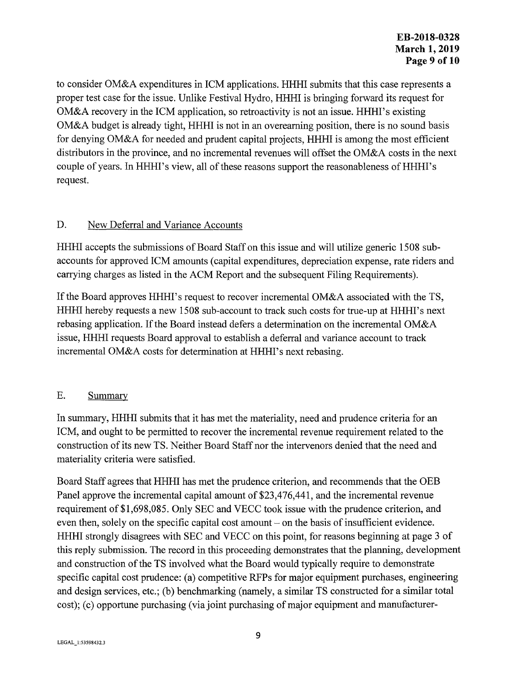to consider OM&A expenditures in ICM applications. HHHI submits that this case represents a proper test case for the issue. Unlike Festival Hydro, HHHI is bringing forward its request for OM&A recovery in the ICM application, so retroactivity is not an issue. HHHI's existing OM&A budget is already tight, HHHI is not in an overearning position, there is no sound basis for denying OM&A for needed and prudent capital projects, HHHI is among the most efficient distributors in the province, and no incremental revenues will offset the OM&A costs in the next couple of years. In HHHI's view, all of these reasons support the reasonableness of HHHI's request.

## D. New Deferral and Variance Accounts

HHHI accepts the submissions of Board Staff on this issue and will utilize generic 1508 subaccounts for approved ICM amounts (capital expenditures, depreciation expense, rate riders and carrying charges as listed in the ACM Report and the subsequent Filing Requirements).

If the Board approves HHHI's request to recover incremental OM&A associated with the TS, HHHI hereby requests a new 1508 sub-account to track such costs for true-up at HHHI's next rebasing application. If the Board instead defers a determination on the incremental OM&A issue, HHHI requests Board approval to establish a deferral and variance account to track incremental OM&A costs for determination at HHHI's next rebasing.

# E. Summary

In summary, HHHI submits that it has met the materiality, need and prudence criteria for an ICM, and ought to be permitted to recover the incremental revenue requirement related to the construction of its new TS. Neither Board Staff nor the intervenors denied that the need and materiality criteria were satisfied.

Board Staff agrees that HHHI has met the prudence criterion, and recommends that the OEB Panel approve the incremental capital amount of \$23,476,441, and the incremental revenue requirement of \$1,698,085. Only SEC and VECC took issue with the prudence criterion, and even then, solely on the specific capital cost amount – on the basis of insufficient evidence. HHHI strongly disagrees with SEC and VECC on this point, for reasons beginning at page 3 of this reply submission. The record in this proceeding demonstrates that the planning, development and construction of the TS involved what the Board would typically require to demonstrate specific capital cost prudence: (a) competitive RFPs for major equipment purchases, engineering and design services, etc.; (b) benchmarking (namely, a similar TS constructed for a similar total cost); (c) opportune purchasing (via joint purchasing of major equipment and manufacturer